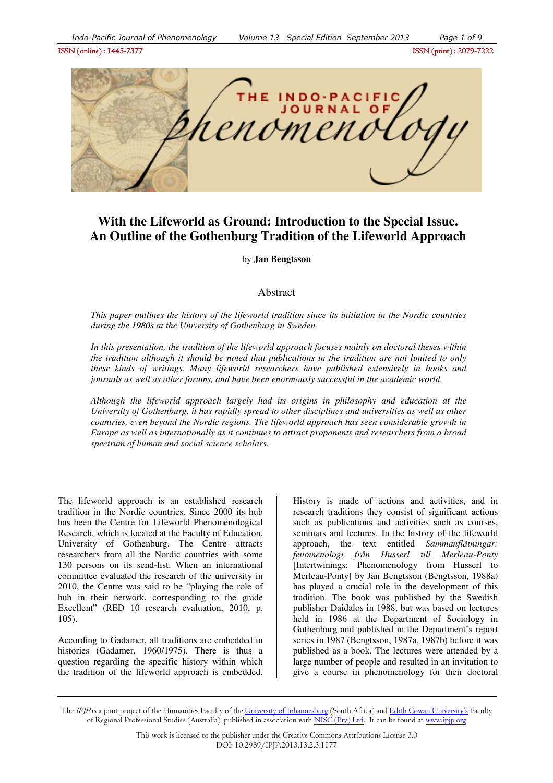ISSN (online) : 1445- ISSN (online) : 1445-7377ISSN (print) : 2079- ISSN (print) 2079-7222



# **With the Lifeworld as Ground: Introduction to the Special Issue. An Outline of the Gothenburg Tradition of the Lifeworld Approach**

by **Jan Bengtsson**

# Abstract

*This paper outlines the history of the lifeworld tradition since its initiation in the Nordic countries during the 1980s at the University of Gothenburg in Sweden.* 

*In this presentation, the tradition of the lifeworld approach focuses mainly on doctoral theses within the tradition although it should be noted that publications in the tradition are not limited to only these kinds of writings. Many lifeworld researchers have published extensively in books and journals as well as other forums, and have been enormously successful in the academic world.* 

*Although the lifeworld approach largely had its origins in philosophy and education at the University of Gothenburg, it has rapidly spread to other disciplines and universities as well as other countries, even beyond the Nordic regions. The lifeworld approach has seen considerable growth in Europe as well as internationally as it continues to attract proponents and researchers from a broad spectrum of human and social science scholars.* 

The lifeworld approach is an established research tradition in the Nordic countries. Since 2000 its hub has been the Centre for Lifeworld Phenomenological Research, which is located at the Faculty of Education, University of Gothenburg. The Centre attracts researchers from all the Nordic countries with some 130 persons on its send-list. When an international committee evaluated the research of the university in 2010, the Centre was said to be "playing the role of hub in their network, corresponding to the grade Excellent" (RED 10 research evaluation, 2010, p. 105).

According to Gadamer, all traditions are embedded in histories (Gadamer, 1960/1975). There is thus a question regarding the specific history within which the tradition of the lifeworld approach is embedded.

History is made of actions and activities, and in research traditions they consist of significant actions such as publications and activities such as courses, seminars and lectures. In the history of the lifeworld approach, the text entitled *Sammanflätningar: fenomenologi från Husserl till Merleau-Ponty* [Intertwinings: Phenomenology from Husserl to Merleau-Ponty] by Jan Bengtsson (Bengtsson, 1988a) has played a crucial role in the development of this tradition. The book was published by the Swedish publisher Daidalos in 1988, but was based on lectures held in 1986 at the Department of Sociology in Gothenburg and published in the Department's report series in 1987 (Bengtsson, 1987a, 1987b) before it was published as a book. The lectures were attended by a large number of people and resulted in an invitation to give a course in phenomenology for their doctoral

The *IPJP* is a joint project of the Humanities Faculty of the <u>University of Johannesburg</u> (South Africa) and <u>Edith Cowan University's</u> Faculty of Regional Professional Studies (Australia), published in association with <u>NISC (Pty) Ltd</u>. It can be found at <u>www.ipjp.org</u>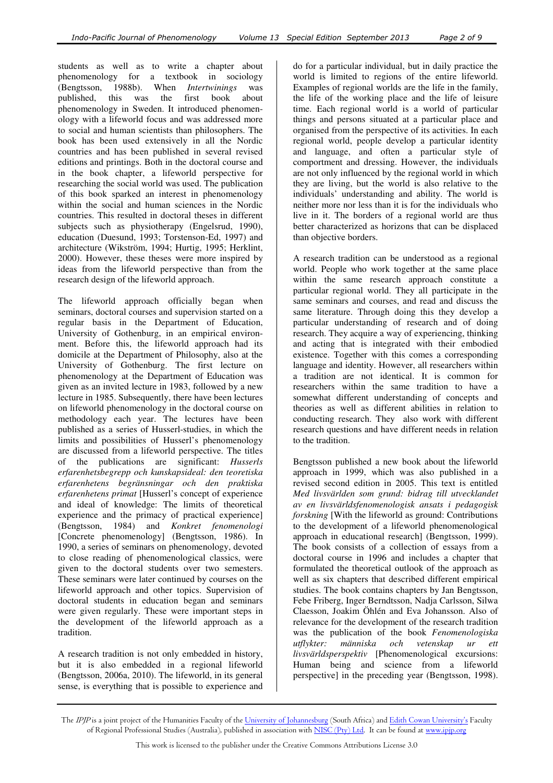students as well as to write a chapter about phenomenology for a textbook in sociology (Bengtsson, 1988b). When *Intertwinings* was published, this was the first book about phenomenology in Sweden. It introduced phenomenology with a lifeworld focus and was addressed more to social and human scientists than philosophers. The book has been used extensively in all the Nordic countries and has been published in several revised editions and printings. Both in the doctoral course and in the book chapter, a lifeworld perspective for researching the social world was used. The publication of this book sparked an interest in phenomenology within the social and human sciences in the Nordic countries. This resulted in doctoral theses in different subjects such as physiotherapy (Engelsrud, 1990), education (Duesund, 1993; Torstenson-Ed, 1997) and architecture (Wikström, 1994; Hurtig, 1995; Herklint, 2000). However, these theses were more inspired by ideas from the lifeworld perspective than from the research design of the lifeworld approach.

The lifeworld approach officially began when seminars, doctoral courses and supervision started on a regular basis in the Department of Education, University of Gothenburg, in an empirical environment. Before this, the lifeworld approach had its domicile at the Department of Philosophy, also at the University of Gothenburg. The first lecture on phenomenology at the Department of Education was given as an invited lecture in 1983, followed by a new lecture in 1985. Subsequently, there have been lectures on lifeworld phenomenology in the doctoral course on methodology each year. The lectures have been published as a series of Husserl-studies, in which the limits and possibilities of Husserl's phenomenology are discussed from a lifeworld perspective. The titles of the publications are significant: *Husserls erfarenhetsbegrepp och kunskapsideal: den teoretiska erfarenhetens begränsningar och den praktiska erfarenhetens primat* [Husserl's concept of experience and ideal of knowledge: The limits of theoretical experience and the primacy of practical experience] (Bengtsson, 1984) and *Konkret fenomenologi* [Concrete phenomenology] (Bengtsson, 1986). In 1990, a series of seminars on phenomenology, devoted to close reading of phenomenological classics, were given to the doctoral students over two semesters. These seminars were later continued by courses on the lifeworld approach and other topics. Supervision of doctoral students in education began and seminars were given regularly. These were important steps in the development of the lifeworld approach as a tradition.

A research tradition is not only embedded in history, but it is also embedded in a regional lifeworld (Bengtsson, 2006a, 2010). The lifeworld, in its general sense, is everything that is possible to experience and

do for a particular individual, but in daily practice the world is limited to regions of the entire lifeworld. Examples of regional worlds are the life in the family, the life of the working place and the life of leisure time. Each regional world is a world of particular things and persons situated at a particular place and organised from the perspective of its activities. In each regional world, people develop a particular identity and language, and often a particular style of comportment and dressing. However, the individuals are not only influenced by the regional world in which they are living, but the world is also relative to the individuals' understanding and ability. The world is neither more nor less than it is for the individuals who live in it. The borders of a regional world are thus better characterized as horizons that can be displaced than objective borders.

A research tradition can be understood as a regional world. People who work together at the same place within the same research approach constitute a particular regional world. They all participate in the same seminars and courses, and read and discuss the same literature. Through doing this they develop a particular understanding of research and of doing research. They acquire a way of experiencing, thinking and acting that is integrated with their embodied existence. Together with this comes a corresponding language and identity. However, all researchers within a tradition are not identical. It is common for researchers within the same tradition to have a somewhat different understanding of concepts and theories as well as different abilities in relation to conducting research. They also work with different research questions and have different needs in relation to the tradition.

Bengtsson published a new book about the lifeworld approach in 1999, which was also published in a revised second edition in 2005. This text is entitled *Med livsvärlden som grund: bidrag till utvecklandet av en livsvärldsfenomenologisk ansats i pedagogisk forskning* [With the lifeworld as ground: Contributions to the development of a lifeworld phenomenological approach in educational research] (Bengtsson, 1999). The book consists of a collection of essays from a doctoral course in 1996 and includes a chapter that formulated the theoretical outlook of the approach as well as six chapters that described different empirical studies. The book contains chapters by Jan Bengtsson, Febe Friberg, Inger Berndtsson, Nadja Carlsson, Silwa Claesson, Joakim Öhlén and Eva Johansson. Also of relevance for the development of the research tradition was the publication of the book *Fenomenologiska utflykter: människa och vetenskap ur ett livsvärldsperspektiv* [Phenomenological excursions: Human being and science from a lifeworld perspective] in the preceding year (Bengtsson, 1998).

The *IPJP* is a joint project of the Humanities Faculty of the <u>University of Johannesburg</u> (South Africa) and <u>Edith Cowan University's</u> Faculty of Regional Professional Studies (Australia), published in association with <u>NISC (Pty) Ltd</u>. It can be found at <u>www.ipjp.org</u>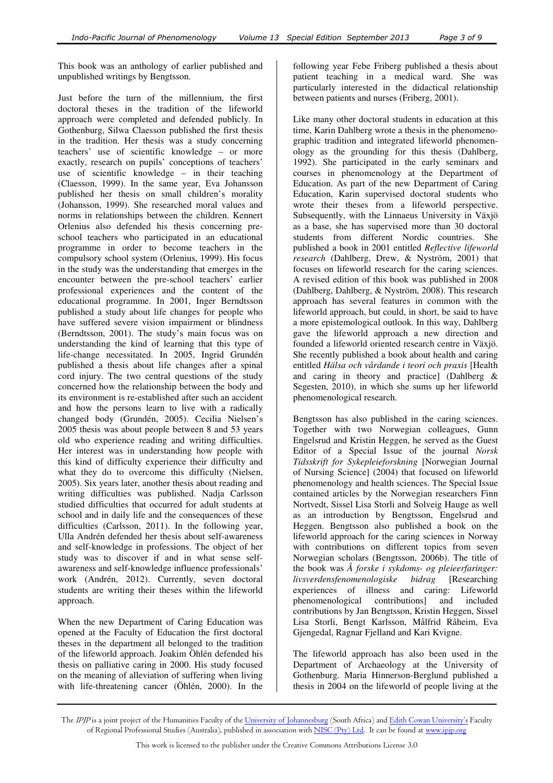This book was an anthology of earlier published and unpublished writings by Bengtsson.

Just before the turn of the millennium, the first doctoral theses in the tradition of the lifeworld approach were completed and defended publicly. In Gothenburg, Silwa Claesson published the first thesis in the tradition. Her thesis was a study concerning teachers' use of scientific knowledge – or more exactly, research on pupils' conceptions of teachers' use of scientific knowledge – in their teaching (Claesson, 1999). In the same year, Eva Johansson published her thesis on small children's morality (Johansson, 1999). She researched moral values and norms in relationships between the children. Kennert Orlenius also defended his thesis concerning preschool teachers who participated in an educational programme in order to become teachers in the compulsory school system (Orlenius, 1999). His focus in the study was the understanding that emerges in the encounter between the pre-school teachers' earlier professional experiences and the content of the educational programme. In 2001, Inger Berndtsson published a study about life changes for people who have suffered severe vision impairment or blindness (Berndtsson, 2001). The study's main focus was on understanding the kind of learning that this type of life-change necessitated. In 2005, Ingrid Grundén published a thesis about life changes after a spinal cord injury. The two central questions of the study concerned how the relationship between the body and its environment is re-established after such an accident and how the persons learn to live with a radically changed body (Grundén, 2005). Cecilia Nielsen's 2005 thesis was about people between 8 and 53 years old who experience reading and writing difficulties. Her interest was in understanding how people with this kind of difficulty experience their difficulty and what they do to overcome this difficulty (Nielsen, 2005). Six years later, another thesis about reading and writing difficulties was published. Nadja Carlsson studied difficulties that occurred for adult students at school and in daily life and the consequences of these difficulties (Carlsson, 2011). In the following year, Ulla Andrén defended her thesis about self-awareness and self-knowledge in professions. The object of her study was to discover if and in what sense selfawareness and self-knowledge influence professionals' work (Andrén, 2012). Currently, seven doctoral students are writing their theses within the lifeworld approach.

When the new Department of Caring Education was opened at the Faculty of Education the first doctoral theses in the department all belonged to the tradition of the lifeworld approach. Joakim Öhlén defended his thesis on palliative caring in 2000. His study focused on the meaning of alleviation of suffering when living with life-threatening cancer (Öhlén, 2000). In the

following year Febe Friberg published a thesis about patient teaching in a medical ward. She was particularly interested in the didactical relationship between patients and nurses (Friberg, 2001).

Like many other doctoral students in education at this time, Karin Dahlberg wrote a thesis in the phenomenographic tradition and integrated lifeworld phenomenology as the grounding for this thesis (Dahlberg, 1992). She participated in the early seminars and courses in phenomenology at the Department of Education. As part of the new Department of Caring Education, Karin supervised doctoral students who wrote their theses from a lifeworld perspective. Subsequently, with the Linnaeus University in Växjö as a base, she has supervised more than 30 doctoral students from different Nordic countries. She published a book in 2001 entitled *Reflective lifeworld research* (Dahlberg, Drew, & Nyström, 2001) that focuses on lifeworld research for the caring sciences. A revised edition of this book was published in 2008 (Dahlberg, Dahlberg, & Nyström, 2008). This research approach has several features in common with the lifeworld approach, but could, in short, be said to have a more epistemological outlook. In this way, Dahlberg gave the lifeworld approach a new direction and founded a lifeworld oriented research centre in Växjö. She recently published a book about health and caring entitled *Hälsa och vårdande i teori och praxis* [Health and caring in theory and practice] (Dahlberg & Segesten, 2010), in which she sums up her lifeworld phenomenological research.

Bengtsson has also published in the caring sciences. Together with two Norwegian colleagues, Gunn Engelsrud and Kristin Heggen, he served as the Guest Editor of a Special Issue of the journal *Norsk Tidsskrift for Sykepleieforskning* [Norwegian Journal of Nursing Science] (2004) that focused on lifeworld phenomenology and health sciences. The Special Issue contained articles by the Norwegian researchers Finn Nortvedt, Sissel Lisa Storli and Solveig Hauge as well as an introduction by Bengtsson, Engelsrud and Heggen. Bengtsson also published a book on the lifeworld approach for the caring sciences in Norway with contributions on different topics from seven Norwegian scholars (Bengtsson, 2006b). The title of the book was *Å forske i sykdoms- og pleieerfaringer: livsverdensfenomenologiske bidrag* [Researching experiences of illness and caring: Lifeworld<br>phenomenological contributionsl and included phenomenological contributions contributions by Jan Bengtsson, Kristin Heggen, Sissel Lisa Storli, Bengt Karlsson, Målfrid Råheim, Eva Gjengedal, Ragnar Fjelland and Kari Kvigne.

The lifeworld approach has also been used in the Department of Archaeology at the University of Gothenburg. Maria Hinnerson-Berglund published a thesis in 2004 on the lifeworld of people living at the

The *IPJP* is a joint project of the Humanities Faculty of the <u>University of Johannesburg</u> (South Africa) and <u>Edith Cowan University's</u> Faculty of Regional Professional Studies (Australia), published in association with <u>NISC (Pty) Ltd</u>. It can be found at <u>www.ipjp.org</u>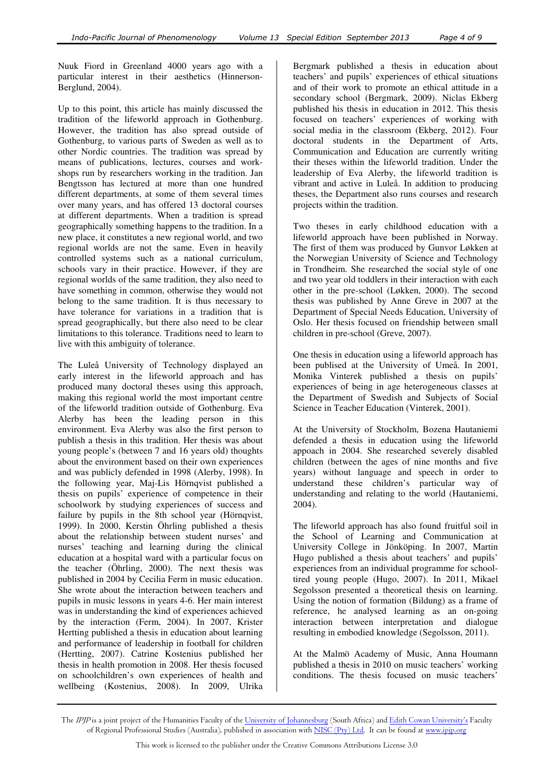Nuuk Fiord in Greenland 4000 years ago with a particular interest in their aesthetics (Hinnerson-Berglund, 2004).

Up to this point, this article has mainly discussed the tradition of the lifeworld approach in Gothenburg. However, the tradition has also spread outside of Gothenburg, to various parts of Sweden as well as to other Nordic countries. The tradition was spread by means of publications, lectures, courses and workshops run by researchers working in the tradition. Jan Bengtsson has lectured at more than one hundred different departments, at some of them several times over many years, and has offered 13 doctoral courses at different departments. When a tradition is spread geographically something happens to the tradition. In a new place, it constitutes a new regional world, and two regional worlds are not the same. Even in heavily controlled systems such as a national curriculum, schools vary in their practice. However, if they are regional worlds of the same tradition, they also need to have something in common, otherwise they would not belong to the same tradition. It is thus necessary to have tolerance for variations in a tradition that is spread geographically, but there also need to be clear limitations to this tolerance. Traditions need to learn to live with this ambiguity of tolerance.

The Luleå University of Technology displayed an early interest in the lifeworld approach and has produced many doctoral theses using this approach, making this regional world the most important centre of the lifeworld tradition outside of Gothenburg. Eva Alerby has been the leading person in this environment. Eva Alerby was also the first person to publish a thesis in this tradition. Her thesis was about young people's (between 7 and 16 years old) thoughts about the environment based on their own experiences and was publicly defended in 1998 (Alerby, 1998). In the following year, Maj-Lis Hörnqvist published a thesis on pupils' experience of competence in their schoolwork by studying experiences of success and failure by pupils in the 8th school year (Hörnqvist, 1999). In 2000, Kerstin Öhrling published a thesis about the relationship between student nurses' and nurses' teaching and learning during the clinical education at a hospital ward with a particular focus on the teacher (Öhrling, 2000). The next thesis was published in 2004 by Cecilia Ferm in music education. She wrote about the interaction between teachers and pupils in music lessons in years 4-6. Her main interest was in understanding the kind of experiences achieved by the interaction (Ferm, 2004). In 2007, Krister Hertting published a thesis in education about learning and performance of leadership in football for children (Hertting, 2007). Catrine Kostenius published her thesis in health promotion in 2008. Her thesis focused on schoolchildren's own experiences of health and wellbeing (Kostenius, 2008). In 2009, Ulrika Bergmark published a thesis in education about teachers' and pupils' experiences of ethical situations and of their work to promote an ethical attitude in a secondary school (Bergmark, 2009). Niclas Ekberg published his thesis in education in 2012. This thesis focused on teachers' experiences of working with social media in the classroom (Ekberg, 2012). Four doctoral students in the Department of Arts, Communication and Education are currently writing their theses within the lifeworld tradition. Under the leadership of Eva Alerby, the lifeworld tradition is vibrant and active in Luleå. In addition to producing theses, the Department also runs courses and research projects within the tradition.

Two theses in early childhood education with a lifeworld approach have been published in Norway. The first of them was produced by Gunvor Løkken at the Norwegian University of Science and Technology in Trondheim. She researched the social style of one and two year old toddlers in their interaction with each other in the pre-school (Løkken, 2000). The second thesis was published by Anne Greve in 2007 at the Department of Special Needs Education, University of Oslo. Her thesis focused on friendship between small children in pre-school (Greve, 2007).

One thesis in education using a lifeworld approach has been publised at the University of Umeå. In 2001, Monika Vinterek published a thesis on pupils' experiences of being in age heterogeneous classes at the Department of Swedish and Subjects of Social Science in Teacher Education (Vinterek, 2001).

At the University of Stockholm, Bozena Hautaniemi defended a thesis in education using the lifeworld appoach in 2004. She researched severely disabled children (between the ages of nine months and five years) without language and speech in order to understand these children's particular way of understanding and relating to the world (Hautaniemi, 2004).

The lifeworld approach has also found fruitful soil in the School of Learning and Communication at University College in Jönköping. In 2007, Martin Hugo published a thesis about teachers' and pupils' experiences from an individual programme for schooltired young people (Hugo, 2007). In 2011, Mikael Segolsson presented a theoretical thesis on learning. Using the notion of formation (Bildung) as a frame of reference, he analysed learning as an on-going interaction between interpretation and dialogue resulting in embodied knowledge (Segolsson, 2011).

At the Malmö Academy of Music, Anna Houmann published a thesis in 2010 on music teachers' working conditions. The thesis focused on music teachers'

The *IPJP* is a joint project of the Humanities Faculty of the <u>University of Johannesburg</u> (South Africa) and <u>Edith Cowan University's</u> Faculty of Regional Professional Studies (Australia), published in association with <u>NISC (Pty) Ltd</u>. It can be found at <u>www.ipjp.org</u>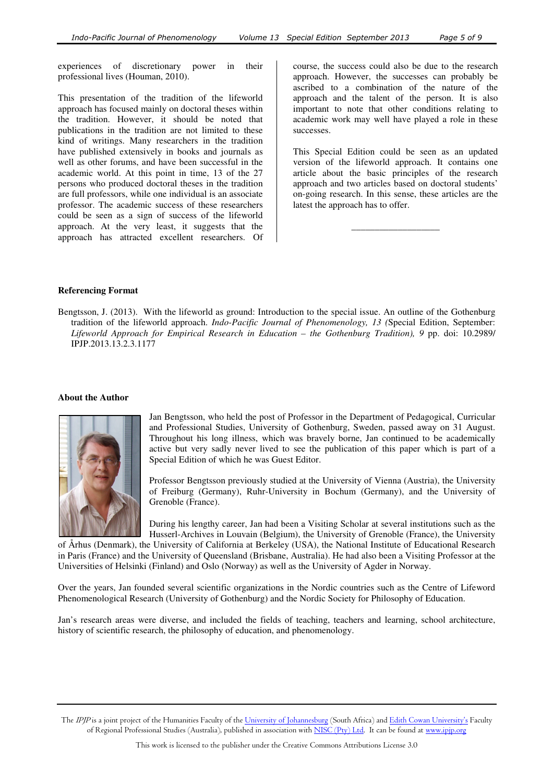experiences of discretionary power in their professional lives (Houman, 2010).

This presentation of the tradition of the lifeworld approach has focused mainly on doctoral theses within the tradition. However, it should be noted that publications in the tradition are not limited to these kind of writings. Many researchers in the tradition have published extensively in books and journals as well as other forums, and have been successful in the academic world. At this point in time, 13 of the 27 persons who produced doctoral theses in the tradition are full professors, while one individual is an associate professor. The academic success of these researchers could be seen as a sign of success of the lifeworld approach. At the very least, it suggests that the approach has attracted excellent researchers. Of course, the success could also be due to the research approach. However, the successes can probably be ascribed to a combination of the nature of the approach and the talent of the person. It is also important to note that other conditions relating to academic work may well have played a role in these successes.

This Special Edition could be seen as an updated version of the lifeworld approach. It contains one article about the basic principles of the research approach and two articles based on doctoral students' on-going research. In this sense, these articles are the latest the approach has to offer.

\_\_\_\_\_\_\_\_\_\_\_\_\_\_\_\_\_\_\_

## **Referencing Format**

Bengtsson, J. (2013). With the lifeworld as ground: Introduction to the special issue. An outline of the Gothenburg tradition of the lifeworld approach. *Indo-Pacific Journal of Phenomenology, 13 (*Special Edition, September: *Lifeworld Approach for Empirical Research in Education – the Gothenburg Tradition), 9* pp. doi: 10.2989/ IPJP.2013.13.2.3.1177

#### **About the Author**



Jan Bengtsson, who held the post of Professor in the Department of Pedagogical, Curricular and Professional Studies, University of Gothenburg, Sweden, passed away on 31 August. Throughout his long illness, which was bravely borne, Jan continued to be academically active but very sadly never lived to see the publication of this paper which is part of a Special Edition of which he was Guest Editor.

Professor Bengtsson previously studied at the University of Vienna (Austria), the University of Freiburg (Germany), Ruhr-University in Bochum (Germany), and the University of Grenoble (France).

During his lengthy career, Jan had been a Visiting Scholar at several institutions such as the Husserl-Archives in Louvain (Belgium), the University of Grenoble (France), the University

of Århus (Denmark), the University of California at Berkeley (USA), the National Institute of Educational Research in Paris (France) and the University of Queensland (Brisbane, Australia). He had also been a Visiting Professor at the Universities of Helsinki (Finland) and Oslo (Norway) as well as the University of Agder in Norway.

Over the years, Jan founded several scientific organizations in the Nordic countries such as the Centre of Lifeword Phenomenological Research (University of Gothenburg) and the Nordic Society for Philosophy of Education.

Jan's research areas were diverse, and included the fields of teaching, teachers and learning, school architecture, history of scientific research, the philosophy of education, and phenomenology.

The IPJP is a joint project of the Humanities Faculty of the University of Johannesburg (South Africa) and Edith Cowan University's Faculty of Regional Professional Studies (Australia), published in association with NISC (Pty) Ltd. It can be found at www.ipjp.org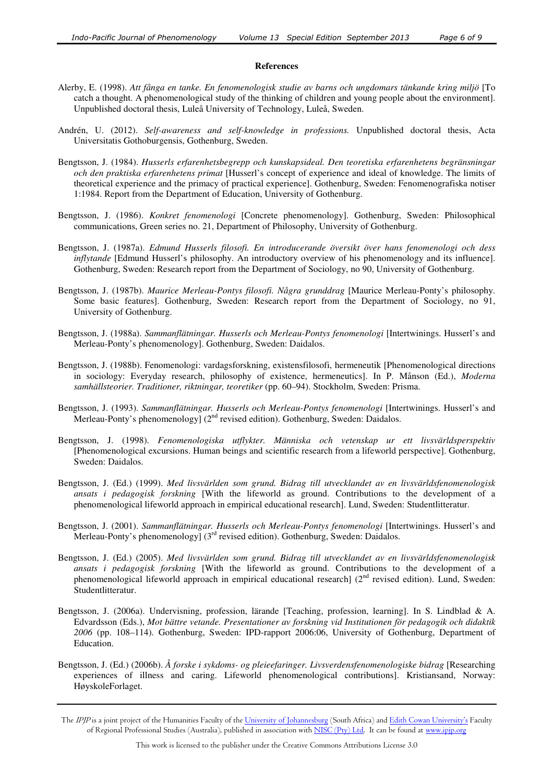### **References**

- Alerby, E. (1998). *Att fånga en tanke. En fenomenologisk studie av barns och ungdomars tänkande kring miljö* [To catch a thought. A phenomenological study of the thinking of children and young people about the environment]. Unpublished doctoral thesis, Luleå University of Technology, Luleå, Sweden.
- Andrén, U. (2012). *Self-awareness and self-knowledge in professions.* Unpublished doctoral thesis, Acta Universitatis Gothoburgensis, Gothenburg, Sweden.
- Bengtsson, J. (1984). *Husserls erfarenhetsbegrepp och kunskapsideal. Den teoretiska erfarenhetens begränsningar och den praktiska erfarenhetens primat* [Husserl's concept of experience and ideal of knowledge. The limits of theoretical experience and the primacy of practical experience]. Gothenburg, Sweden: Fenomenografiska notiser 1:1984. Report from the Department of Education, University of Gothenburg.
- Bengtsson, J. (1986). *Konkret fenomenologi* [Concrete phenomenology]. Gothenburg, Sweden: Philosophical communications, Green series no. 21, Department of Philosophy, University of Gothenburg.
- Bengtsson, J. (1987a). *Edmund Husserls filosofi. En introducerande översikt över hans fenomenologi och dess inflytande* [Edmund Husserl's philosophy. An introductory overview of his phenomenology and its influence]. Gothenburg, Sweden: Research report from the Department of Sociology, no 90, University of Gothenburg.
- Bengtsson, J. (1987b). *Maurice Merleau-Pontys filosofi. Några grunddrag* [Maurice Merleau-Ponty's philosophy. Some basic features]. Gothenburg, Sweden: Research report from the Department of Sociology, no 91, University of Gothenburg.
- Bengtsson, J. (1988a). *Sammanflätningar. Husserls och Merleau-Pontys fenomenologi* [Intertwinings. Husserl's and Merleau-Ponty's phenomenology]. Gothenburg, Sweden: Daidalos.
- Bengtsson, J. (1988b). Fenomenologi: vardagsforskning, existensfilosofi, hermeneutik [Phenomenological directions in sociology: Everyday research, philosophy of existence, hermeneutics]. In P. Månson (Ed.), *Moderna samhällsteorier. Traditioner, riktningar, teoretiker* (pp. 60–94). Stockholm, Sweden: Prisma.
- Bengtsson, J. (1993). *Sammanflätningar. Husserls och Merleau-Pontys fenomenologi* [Intertwinings. Husserl's and Merleau-Ponty's phenomenology]  $(2<sup>nd</sup>$  revised edition). Gothenburg, Sweden: Daidalos.
- Bengtsson, J. (1998). *Fenomenologiska utflykter. Människa och vetenskap ur ett livsvärldsperspektiv*  [Phenomenological excursions. Human beings and scientific research from a lifeworld perspective]. Gothenburg, Sweden: Daidalos.
- Bengtsson, J. (Ed.) (1999). *Med livsvärlden som grund. Bidrag till utvecklandet av en livsvärldsfenomenologisk ansats i pedagogisk forskning* [With the lifeworld as ground. Contributions to the development of a phenomenological lifeworld approach in empirical educational research]. Lund, Sweden: Studentlitteratur.
- Bengtsson, J. (2001). *Sammanflätningar. Husserls och Merleau-Pontys fenomenologi* [Intertwinings. Husserl's and Merleau-Ponty's phenomenology]  $(3<sup>rd</sup>$  revised edition). Gothenburg, Sweden: Daidalos.
- Bengtsson, J. (Ed.) (2005). *Med livsvärlden som grund. Bidrag till utvecklandet av en livsvärldsfenomenologisk ansats i pedagogisk forskning* [With the lifeworld as ground. Contributions to the development of a phenomenological lifeworld approach in empirical educational research] (2<sup>nd</sup> revised edition). Lund, Sweden: Studentlitteratur.
- Bengtsson, J. (2006a). Undervisning, profession, lärande [Teaching, profession, learning]. In S. Lindblad & A. Edvardsson (Eds.), *Mot bättre vetande. Presentationer av forskning vid Institutionen för pedagogik och didaktik 2006* (pp. 108–114). Gothenburg, Sweden: IPD-rapport 2006:06, University of Gothenburg, Department of Education.
- Bengtsson, J. (Ed.) (2006b). *Å forske i sykdoms- og pleieefaringer. Livsverdensfenomenologiske bidrag* [Researching experiences of illness and caring. Lifeworld phenomenological contributions]. Kristiansand, Norway: HøyskoleForlaget.

The IPJP is a joint project of the Humanities Faculty of the University of Johannesburg (South Africa) and Edith Cowan University's Faculty of Regional Professional Studies (Australia), published in association with NISC (Pty) Ltd. It can be found at www.ipjp.org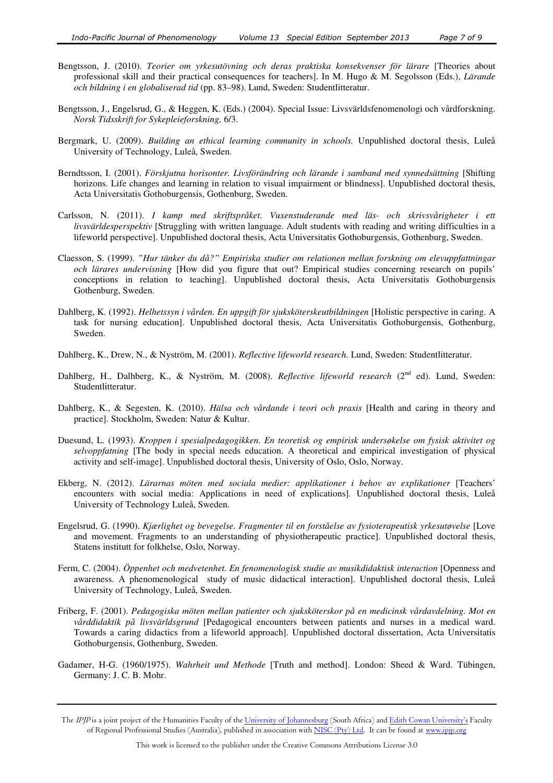- Bengtsson, J. (2010). *Teorier om yrkesutövning och deras praktiska konsekvenser för lärare* [Theories about professional skill and their practical consequences for teachers]. In M. Hugo & M. Segolsson (Eds.), *Lärande och bildning i en globaliserad tid* (pp. 83–98). Lund, Sweden: Studentlitteratur.
- Bengtsson, J., Engelsrud, G., & Heggen, K. (Eds.) (2004). Special Issue: Livsvärldsfenomenologi och vårdforskning. *Norsk Tidsskrift for Sykepleieforskning,* 6/3.
- Bergmark, U. (2009). *Building an ethical learning community in schools.* Unpublished doctoral thesis, Luleå University of Technology, Luleå, Sweden.
- Berndtsson, I. (2001). *Förskjutna horisonter. Livsförändring och lärande i samband med synnedsättning* [Shifting horizons. Life changes and learning in relation to visual impairment or blindness]. Unpublished doctoral thesis, Acta Universitatis Gothoburgensis, Gothenburg, Sweden.
- Carlsson, N. (2011). *I kamp med skriftspråket. Vuxenstuderande med läs- och skrivsvårigheter i ett livsvärldesperspektiv* [Struggling with written language. Adult students with reading and writing difficulties in a lifeworld perspective]. Unpublished doctoral thesis, Acta Universitatis Gothoburgensis, Gothenburg, Sweden.
- Claesson, S. (1999). *"Hur tänker du då?" Empiriska studier om relationen mellan forskning om elevuppfattningar och lärares undervisning* [How did you figure that out? Empirical studies concerning research on pupils' conceptions in relation to teaching]. Unpublished doctoral thesis, Acta Universitatis Gothoburgensis Gothenburg, Sweden.
- Dahlberg, K. (1992). *Helhetssyn i vården. En uppgift för sjuksköterskeutbildningen* [Holistic perspective in caring. A task for nursing education]. Unpublished doctoral thesis, Acta Universitatis Gothoburgensis, Gothenburg, Sweden.
- Dahlberg, K., Drew, N., & Nyström, M. (2001). *Reflective lifeworld research.* Lund, Sweden: Studentlitteratur.
- Dahlberg, H., Dalhberg, K., & Nyström, M. (2008). *Reflective lifeworld research* (2<sup>nd</sup> ed). Lund, Sweden: Studentlitteratur.
- Dahlberg, K., & Segesten, K. (2010). *Hälsa och vårdande i teori och praxis* [Health and caring in theory and practice]. Stockholm, Sweden: Natur & Kultur.
- Duesund, L. (1993). *Kroppen i spesialpedagogikken. En teoretisk og empirisk undersøkelse om fysisk aktivitet og selvoppfatning* [The body in special needs education. A theoretical and empirical investigation of physical activity and self-image]. Unpublished doctoral thesis, University of Oslo, Oslo, Norway.
- Ekberg, N. (2012). *Lärarnas möten med sociala medier: applikationer i behov av explikationer* [Teachers' encounters with social media: Applications in need of explications]. Unpublished doctoral thesis, Luleå University of Technology Luleå, Sweden.
- Engelsrud, G. (1990). *Kjærlighet og bevegelse. Fragmenter til en forståelse av fysioterapeutisk yrkesutøvelse* [Love and movement. Fragments to an understanding of physiotherapeutic practice]. Unpublished doctoral thesis, Statens institutt for folkhelse, Oslo, Norway.
- Ferm, C. (2004). *Öppenhet och medvetenhet. En fenomenologisk studie av musikdidaktisk interaction* [Openness and awareness. A phenomenological study of music didactical interaction]. Unpublished doctoral thesis, Luleå University of Technology, Luleå, Sweden.
- Friberg, F. (2001). *Pedagogiska möten mellan patienter och sjuksköterskor på en medicinsk vårdavdelning. Mot en vårddidaktik på livsvärldsgrund* [Pedagogical encounters between patients and nurses in a medical ward. Towards a caring didactics from a lifeworld approach]. Unpublished doctoral dissertation, Acta Universitatis Gothoburgensis, Gothenburg, Sweden.
- Gadamer, H-G. (1960/1975). *Wahrheit und Methode* [Truth and method]. London: Sheed & Ward. Tübingen, Germany: J. C. B. Mohr.

The IPJP is a joint project of the Humanities Faculty of the University of Johannesburg (South Africa) and Edith Cowan University's Faculty of Regional Professional Studies (Australia), published in association with NISC (Pty) Ltd. It can be found at www.ipjp.org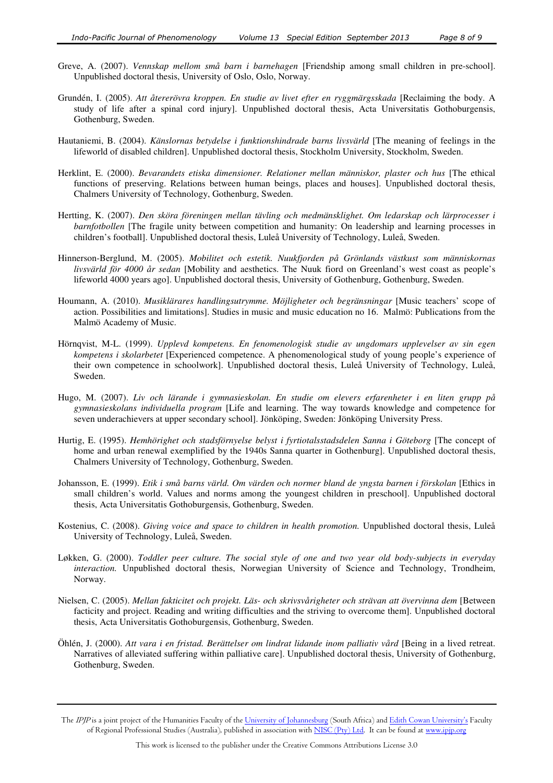- Greve, A. (2007). *Vennskap mellom små barn i barnehagen* [Friendship among small children in pre-school]. Unpublished doctoral thesis, University of Oslo, Oslo, Norway.
- Grundén, I. (2005). *Att återerövra kroppen. En studie av livet efter en ryggmärgsskada* [Reclaiming the body. A study of life after a spinal cord injury]. Unpublished doctoral thesis, Acta Universitatis Gothoburgensis, Gothenburg, Sweden.
- Hautaniemi, B. (2004). *Känslornas betydelse i funktionshindrade barns livsvärld* [The meaning of feelings in the lifeworld of disabled children]. Unpublished doctoral thesis, Stockholm University, Stockholm, Sweden.
- Herklint, E. (2000). *Bevarandets etiska dimensioner. Relationer mellan människor, plaster och hus* [The ethical functions of preserving. Relations between human beings, places and houses]. Unpublished doctoral thesis, Chalmers University of Technology, Gothenburg, Sweden.
- Hertting, K. (2007). *Den sköra föreningen mellan tävling och medmänsklighet. Om ledarskap och lärprocesser i barnfotbollen* [The fragile unity between competition and humanity: On leadership and learning processes in children's football]. Unpublished doctoral thesis, Luleå University of Technology, Luleå, Sweden.
- Hinnerson-Berglund, M. (2005). *Mobilitet och estetik. Nuukfjorden på Grönlands västkust som människornas livsvärld för 4000 år sedan* [Mobility and aesthetics. The Nuuk fiord on Greenland's west coast as people's lifeworld 4000 years ago]. Unpublished doctoral thesis, University of Gothenburg, Gothenburg, Sweden.
- Houmann, A. (2010). *Musiklärares handlingsutrymme. Möjligheter och begränsningar* [Music teachers' scope of action. Possibilities and limitations]. Studies in music and music education no 16. Malmö: Publications from the Malmö Academy of Music.
- Hörnqvist, M-L. (1999). *Upplevd kompetens. En fenomenologisk studie av ungdomars upplevelser av sin egen kompetens i skolarbetet* [Experienced competence. A phenomenological study of young people's experience of their own competence in schoolwork]. Unpublished doctoral thesis, Luleå University of Technology, Luleå, Sweden.
- Hugo, M. (2007). *Liv och lärande i gymnasieskolan. En studie om elevers erfarenheter i en liten grupp på gymnasieskolans individuella program* [Life and learning. The way towards knowledge and competence for seven underachievers at upper secondary school]. Jönköping, Sweden: Jönköping University Press.
- Hurtig, E. (1995). *Hemhörighet och stadsförnyelse belyst i fyrtiotalsstadsdelen Sanna i Göteborg* [The concept of home and urban renewal exemplified by the 1940s Sanna quarter in Gothenburg]. Unpublished doctoral thesis, Chalmers University of Technology, Gothenburg, Sweden.
- Johansson, E. (1999). *Etik i små barns värld. Om värden och normer bland de yngsta barnen i förskolan* [Ethics in small children's world. Values and norms among the youngest children in preschool]. Unpublished doctoral thesis, Acta Universitatis Gothoburgensis, Gothenburg, Sweden.
- Kostenius, C. (2008). *Giving voice and space to children in health promotion.* Unpublished doctoral thesis, Luleå University of Technology, Luleå, Sweden.
- Løkken, G. (2000). *Toddler peer culture. The social style of one and two year old body-subjects in everyday interaction.* Unpublished doctoral thesis, Norwegian University of Science and Technology, Trondheim, Norway.
- Nielsen, C. (2005). *Mellan fakticitet och projekt. Läs- och skrivsvårigheter och strävan att övervinna dem* [Between facticity and project. Reading and writing difficulties and the striving to overcome them]. Unpublished doctoral thesis, Acta Universitatis Gothoburgensis, Gothenburg, Sweden.
- Öhlén, J. (2000). *Att vara i en fristad. Berättelser om lindrat lidande inom palliativ vård* [Being in a lived retreat. Narratives of alleviated suffering within palliative care]. Unpublished doctoral thesis, University of Gothenburg, Gothenburg, Sweden.

The IPJP is a joint project of the Humanities Faculty of the University of Johannesburg (South Africa) and Edith Cowan University's Faculty of Regional Professional Studies (Australia), published in association with NISC (Pty) Ltd. It can be found at www.ipjp.org